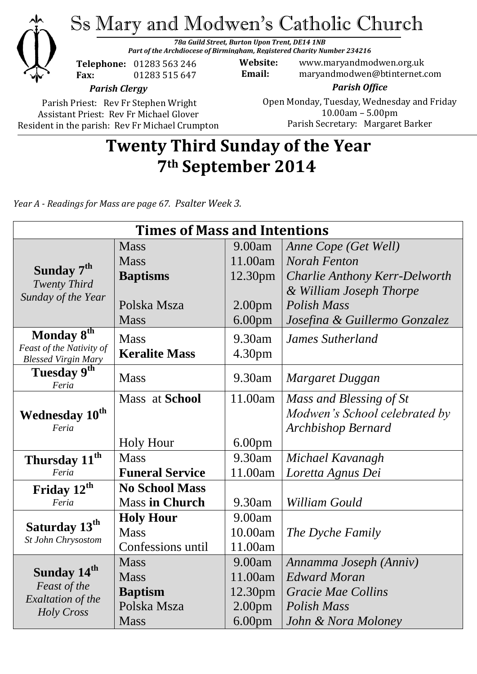

Parish Priest: Rev Fr Stephen Wright Assistant Priest: Rev Fr Michael Glover Resident in the parish: Rev Fr Michael Crumpton

#### Open Monday, Tuesday, Wednesday and Friday 10.00am – 5.00pm Parish Secretary:Margaret Barker

# **Twenty Third Sunday of the Year 7th September 2014**

*Year A - Readings for Mass are page 67. Psalter Week 3.*

| <b>Times of Mass and Intentions</b>                                                      |                        |                    |                               |
|------------------------------------------------------------------------------------------|------------------------|--------------------|-------------------------------|
|                                                                                          | <b>Mass</b>            | 9.00am             | Anne Cope (Get Well)          |
| Sunday 7 <sup>th</sup><br><b>Twenty Third</b><br>Sunday of the Year                      | <b>Mass</b>            | 11.00am            | <b>Norah Fenton</b>           |
|                                                                                          | <b>Baptisms</b>        | 12.30pm            | Charlie Anthony Kerr-Delworth |
|                                                                                          |                        |                    | & William Joseph Thorpe       |
|                                                                                          | Polska Msza            | 2.00 <sub>pm</sub> | Polish Mass                   |
|                                                                                          | <b>Mass</b>            | 6.00 <sub>pm</sub> | Josefina & Guillermo Gonzalez |
| Monday 8 <sup>th</sup>                                                                   | <b>Mass</b>            | 9.30am             | <b>James Sutherland</b>       |
| Feast of the Nativity of<br><b>Blessed Virgin Mary</b>                                   | <b>Keralite Mass</b>   | 4.30pm             |                               |
| Tuesday 9 <sup>th</sup><br>Feria                                                         | <b>Mass</b>            | 9.30am             | Margaret Duggan               |
|                                                                                          | Mass at School         | 11.00am            | Mass and Blessing of St       |
| <b>Wednesday 10th</b><br>Feria                                                           |                        |                    | Modwen's School celebrated by |
|                                                                                          |                        |                    | <b>Archbishop Bernard</b>     |
|                                                                                          | <b>Holy Hour</b>       | 6.00 <sub>pm</sub> |                               |
| Thursday 11 <sup>th</sup>                                                                | <b>Mass</b>            | 9.30am             | Michael Kavanagh              |
| Feria                                                                                    | <b>Funeral Service</b> | 11.00am            | Loretta Agnus Dei             |
| Friday 12 <sup>th</sup>                                                                  | <b>No School Mass</b>  |                    |                               |
| Feria                                                                                    | <b>Mass in Church</b>  | 9.30am             | William Gould                 |
| Saturday 13 <sup>th</sup><br>St John Chrysostom                                          | <b>Holy Hour</b>       | 9.00am             |                               |
|                                                                                          | <b>Mass</b>            | 10.00am            | The Dyche Family              |
|                                                                                          | Confessions until      | 11.00am            |                               |
| Sunday 14 <sup>th</sup><br>Feast of the<br><b>Exaltation of the</b><br><b>Holy Cross</b> | <b>Mass</b>            | 9.00am             | Annamma Joseph (Anniv)        |
|                                                                                          | <b>Mass</b>            | 11.00am            | <b>Edward Moran</b>           |
|                                                                                          | <b>Baptism</b>         | 12.30pm            | <b>Gracie Mae Collins</b>     |
|                                                                                          | Polska Msza            | 2.00 <sub>pm</sub> | <b>Polish Mass</b>            |
|                                                                                          | <b>Mass</b>            | 6.00 <sub>pm</sub> | John & Nora Moloney           |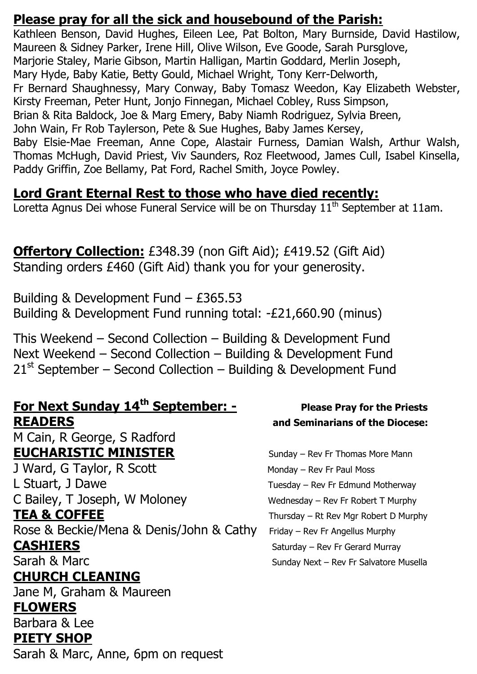#### **Please pray for all the sick and housebound of the Parish:**

Kathleen Benson, David Hughes, Eileen Lee, Pat Bolton, Mary Burnside, David Hastilow, Maureen & Sidney Parker, Irene Hill, Olive Wilson, Eve Goode, Sarah Pursglove, Marjorie Staley, Marie Gibson, Martin Halligan, Martin Goddard, Merlin Joseph, Mary Hyde, Baby Katie, Betty Gould, Michael Wright, Tony Kerr-Delworth, Fr Bernard Shaughnessy, Mary Conway, Baby Tomasz Weedon, Kay Elizabeth Webster, Kirsty Freeman, Peter Hunt, Jonjo Finnegan, Michael Cobley, Russ Simpson, Brian & Rita Baldock, Joe & Marg Emery, Baby Niamh Rodriguez, Sylvia Breen, John Wain, Fr Rob Taylerson, Pete & Sue Hughes, Baby James Kersey, Baby Elsie-Mae Freeman, Anne Cope, Alastair Furness, Damian Walsh, Arthur Walsh, Thomas McHugh, David Priest, Viv Saunders, Roz Fleetwood, James Cull, Isabel Kinsella, Paddy Griffin, Zoe Bellamy, Pat Ford, Rachel Smith, Joyce Powley.

## **Lord Grant Eternal Rest to those who have died recently:**

Loretta Agnus Dei whose Funeral Service will be on Thursday 11<sup>th</sup> September at 11am.

#### **Offertory Collection:** £348.39 (non Gift Aid); £419.52 (Gift Aid) Standing orders £460 (Gift Aid) thank you for your generosity.

Building & Development Fund – £365.53 Building & Development Fund running total: -£21,660.90 (minus)

This Weekend – Second Collection – Building & Development Fund Next Weekend – Second Collection – Building & Development Fund  $21<sup>st</sup>$  September – Second Collection – Building & Development Fund

#### **For <u>Next Sunday 14<sup>th</sup> September: -</u> Please Pray for the Priests <b>For Sunday 14<sup>th</sup>** September: - Please Pray for the Priests **READERS and Seminarians of the Diocese:**

M Cain, R George, S Radford **EUCHARISTIC MINISTER** Sunday – Rev Fr Thomas More Mann

J Ward, G Taylor, R Scott Monday – Rev Fr Paul Moss L Stuart, J Dawe Tuesday – Rev Fr Edmund Motherway C Bailey, T Joseph, W Moloney Wednesday – Rev Fr Robert T Murphy **TEA & COFFEE** Thursday – Rt Rev Mgr Robert D Murphy

Rose & Beckie/Mena & Denis/John & Cathy Friday – Rev Fr Angellus Murphy **CASHIERS** Saturday – Rev Fr Gerard Murray Sarah & Marc Sunday Next – Rev Fr Salvatore Musella

## **CHURCH CLEANING**

Jane M, Graham & Maureen **FLOWERS** 

## Barbara & Lee

#### **PIETY SHOP**

Sarah & Marc, Anne, 6pm on request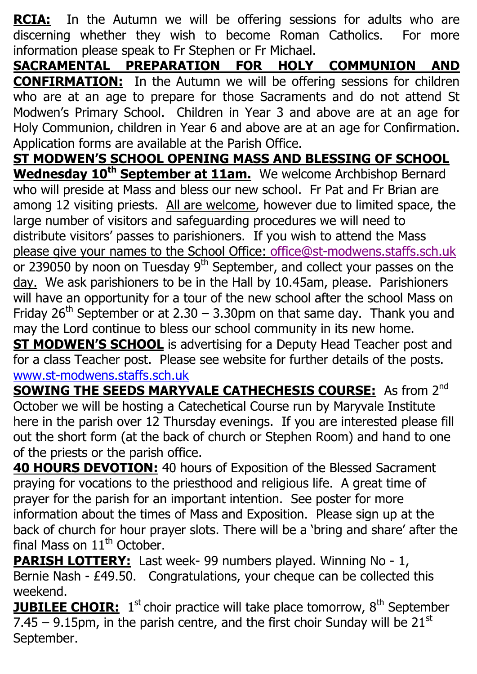**RCIA:** In the Autumn we will be offering sessions for adults who are discerning whether they wish to become Roman Catholics. For more information please speak to Fr Stephen or Fr Michael.

**SACRAMENTAL PREPARATION FOR HOLY COMMUNION AND CONFIRMATION:** In the Autumn we will be offering sessions for children who are at an age to prepare for those Sacraments and do not attend St Modwen's Primary School. Children in Year 3 and above are at an age for Holy Communion, children in Year 6 and above are at an age for Confirmation. Application forms are available at the Parish Office.

**ST MODWEN'S SCHOOL OPENING MASS AND BLESSING OF SCHOOL Wednesday 10th September at 11am.** We welcome Archbishop Bernard who will preside at Mass and bless our new school. Fr Pat and Fr Brian are among 12 visiting priests. All are welcome, however due to limited space, the large number of visitors and safeguarding procedures we will need to distribute visitors' passes to parishioners. If you wish to attend the Mass please give your names to the School Office: [office@st-modwens.staffs.sch.uk](mailto:office@st-modwens.staffs.sch.uk) or 239050 by noon on Tuesday  $9<sup>th</sup>$  September, and collect your passes on the day. We ask parishioners to be in the Hall by 10.45am, please. Parishioners will have an opportunity for a tour of the new school after the school Mass on Friday 26<sup>th</sup> September or at 2.30 – 3.30pm on that same day. Thank you and may the Lord continue to bless our school community in its new home.

**ST MODWEN'S SCHOOL** is advertising for a Deputy Head Teacher post and for a class Teacher post. Please see website for further details of the posts. [www.st-modwens.staffs.sch.uk](http://www.st-modwens.staffs.sch.uk/)

**SOWING THE SEEDS MARYVALE CATHECHESIS COURSE:** As from 2<sup>nd</sup> October we will be hosting a Catechetical Course run by Maryvale Institute here in the parish over 12 Thursday evenings. If you are interested please fill out the short form (at the back of church or Stephen Room) and hand to one of the priests or the parish office.

**40 HOURS DEVOTION:** 40 hours of Exposition of the Blessed Sacrament praying for vocations to the priesthood and religious life. A great time of prayer for the parish for an important intention. See poster for more information about the times of Mass and Exposition. Please sign up at the back of church for hour prayer slots. There will be a 'bring and share' after the final Mass on  $11<sup>th</sup>$  October.

**PARISH LOTTERY:** Last week- 99 numbers played. Winning No - 1, Bernie Nash - £49.50. Congratulations, your cheque can be collected this weekend.

**JUBILEE CHOIR:** 1<sup>st</sup> choir practice will take place tomorrow, 8<sup>th</sup> September 7.45 – 9.15pm, in the parish centre, and the first choir Sunday will be  $21^{st}$ September.